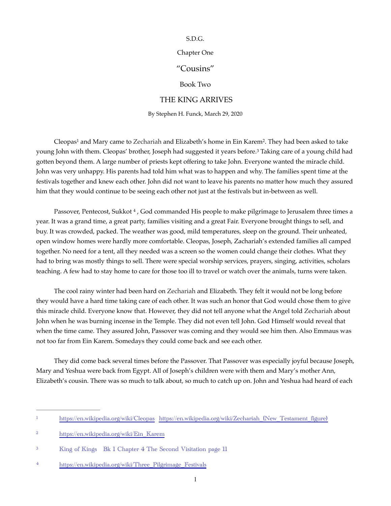## S.D.G.

## Chapter One

## "Cousins"

<span id="page-0-6"></span><span id="page-0-5"></span>Book Two

## THE KING ARRIVES

<span id="page-0-7"></span>By Stephen H. Funck, March 29, 2020

<span id="page-0-4"></span>Cleopas<sup>1</sup> and Mary came to Zechariah and Elizabeth'[s](#page-0-0) home in Ein Karem<sup>2</sup>[.](#page-0-1) They had been asked to take young John with them[.](#page-0-2) Cleopas' brother, Joseph had suggested it years before.<sup>[3](#page-0-2)</sup> Taking care of a young child had gotten beyond them. A large number of priests kept offering to take John. Everyone wanted the miracle child. John was very unhappy. His parents had told him what was to happen and why. The families spent time at the festivals together and knew each other. John did not want to leave his parents no matter how much they assured him that they would continue to be seeing each other not just at the festivals but in-between as well.

Passover,Pentecost, Sukkot [4](#page-0-3), God commanded His people to make pilgrimage to Jerusalem three times a year. It was a grand time, a great party, families visiting and a great Fair. Everyone brought things to sell, and buy. It was crowded, packed. The weather was good, mild temperatures, sleep on the ground. Their unheated, open window homes were hardly more comfortable. Cleopas, Joseph, Zachariah's extended families all camped together. No need for a tent, all they needed was a screen so the women could change their clothes. What they had to bring was mostly things to sell. There were special worship services, prayers, singing, activities, scholars teaching. A few had to stay home to care for those too ill to travel or watch over the animals, turns were taken.

The cool rainy winter had been hard on Zechariah and Elizabeth. They felt it would not be long before they would have a hard time taking care of each other. It was such an honor that God would chose them to give this miracle child. Everyone know that. However, they did not tell anyone what the Angel told Zechariah about John when he was burning incense in the Temple. They did not even tell John. God Himself would reveal that when the time came. They assured John, Passover was coming and they would see him then. Also Emmaus was not too far from Ein Karem. Somedays they could come back and see each other.

They did come back several times before the Passover. That Passover was especially joyful because Joseph, Mary and Yeshua were back from Egypt. All of Joseph's children were with them and Mary's mother Ann, Elizabeth's cousin. There was so much to talk about, so much to catch up on. John and Yeshua had heard of each

<span id="page-0-0"></span><https://en.wikipedia.org/wiki/Cleopas> [https://en.wikipedia.org/wiki/Zechariah\\_\(New\\_Testament\\_figure\)](https://en.wikipedia.org/wiki/Zechariah_(New_Testament_figure)) [1](#page-0-4)

<span id="page-0-1"></span>[https://en.wikipedia.org/wiki/Ein\\_Karem](https://en.wikipedia.org/wiki/Ein_Karem) [2](#page-0-5)

<span id="page-0-2"></span><sup>&</sup>lt;sup>3</sup>King of Kings Bk 1 Chapter 4 The Second Visitation page 11

<span id="page-0-3"></span>[<sup>4</sup>](#page-0-7) https://en.wikipedia.org/wiki/Three Pilgrimage Festivals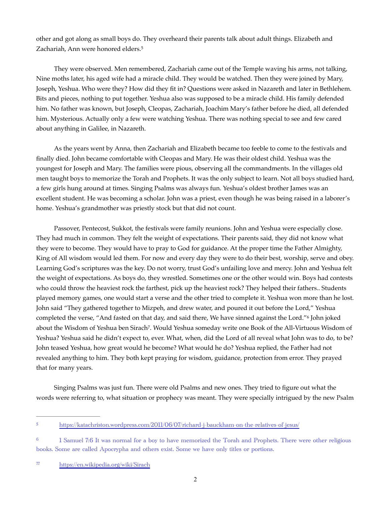<span id="page-1-3"></span>other and got along as small boys do. They overheard their parents talk about adult things. Elizabeth and Zachariah, Ann were honored elders[.](#page-1-0)<sup>[5](#page-1-0)</sup>

They were observed. Men remembered, Zachariah came out of the Temple waving his arms, not talking, Nine moths later, his aged wife had a miracle child. They would be watched. Then they were joined by Mary, Joseph, Yeshua. Who were they? How did they fit in? Questions were asked in Nazareth and later in Bethlehem. Bits and pieces, nothing to put together. Yeshua also was supposed to be a miracle child. His family defended him. No father was known, but Joseph, Cleopas, Zachariah, Joachim Mary's father before he died, all defended him. Mysterious. Actually only a few were watching Yeshua. There was nothing special to see and few cared about anything in Galilee, in Nazareth.

As the years went by Anna, then Zachariah and Elizabeth became too feeble to come to the festivals and finally died. John became comfortable with Cleopas and Mary. He was their oldest child. Yeshua was the youngest for Joseph and Mary. The families were pious, observing all the commandments. In the villages old men taught boys to memorize the Torah and Prophets. It was the only subject to learn. Not all boys studied hard, a few girls hung around at times. Singing Psalms was always fun. Yeshua's oldest brother James was an excellent student. He was becoming a scholar. John was a priest, even though he was being raised in a laborer's home. Yeshua's grandmother was priestly stock but that did not count.

Passover, Pentecost, Sukkot, the festivals were family reunions. John and Yeshua were especially close. They had much in common. They felt the weight of expectations. Their parents said, they did not know what they were to become. They would have to pray to God for guidance. At the proper time the Father Almighty, King of All wisdom would led them. For now and every day they were to do their best, worship, serve and obey. Learning God's scriptures was the key. Do not worry, trust God's unfailing love and mercy. John and Yeshua felt the weight of expectations. As boys do, they wrestled. Sometimes one or the other would win. Boys had contests who could throw the heaviest rock the farthest, pick up the heaviest rock? They helped their fathers.. Students played memory games, one would start a verse and the other tried to complete it. Yeshua won more than he lost. John said "They gathered together to Mizpeh, and drew water, and poured it out before the Lord," Yeshua completed the verse, "And fasted on that day, and said there, We have sinned against the Lord." John joked about the Wisdom of Yeshua ben Sirach<sup>7</sup>[.](#page-1-2) Would Yeshua someday write one Book of the All-Virtuous Wisdom of Yeshua? Yeshua said he didn't expect to, ever. What, when, did the Lord of all reveal what John was to do, to be? John teased Yeshua, how great would he become? What would he do? Yeshua replied, the Father had not revealed anything to him. They both kept praying for wisdom, guidance, protection from error. They prayed that for many years.

<span id="page-1-5"></span><span id="page-1-4"></span>Singing Psalms was just fun. There were old Psalms and new ones. They tried to figure out what the words were referring to, what situation or prophecy was meant. They were specially intrigued by the new Psalm

<span id="page-1-2"></span><https://en.wikipedia.org/wiki/Sirach> [77](#page-1-5)

<span id="page-1-0"></span><https://katachriston.wordpress.com/2011/06/07/richard-j-bauckham-on-the-relatives-of-jesus/> [5](#page-1-3)

<span id="page-1-1"></span><sup>&</sup>lt;sup>[6](#page-1-4)</sup> 1 Samuel 7:6 It was normal for a boy to have memorized the Torah and Prophets. There were other religious books. Some are called Apocrypha and others exist. Some we have only titles or portions.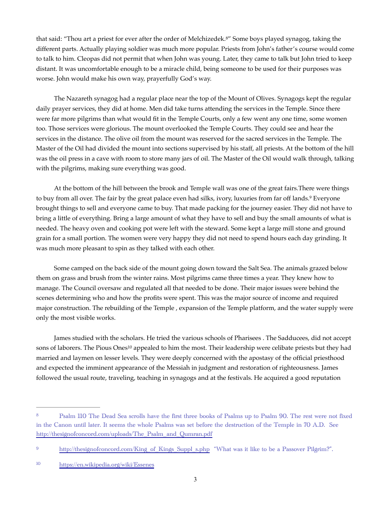<span id="page-2-3"></span>that said: "Thou art a priest for ever after the order of Melchizedek.<sup>[8](#page-2-0)"</sup> Some boys played synagog, taking the different parts. Actually playing soldier was much more popular. Priests from John's father's course would come to talk to him. Cleopas did not permit that when John was young. Later, they came to talk but John tried to keep distant. It was uncomfortable enough to be a miracle child, being someone to be used for their purposes was worse. John would make his own way, prayerfully God's way.

The Nazareth synagog had a regular place near the top of the Mount of Olives. Synagogs kept the regular daily prayer services, they did at home. Men did take turns attending the services in the Temple. Since there were far more pilgrims than what would fit in the Temple Courts, only a few went any one time, some women too. Those services were glorious. The mount overlooked the Temple Courts. They could see and hear the services in the distance. The olive oil from the mount was reserved for the sacred services in the Temple. The Master of the Oil had divided the mount into sections supervised by his staff, all priests. At the bottom of the hill was the oil press in a cave with room to store many jars of oil. The Master of the Oil would walk through, talking with the pilgrims, making sure everything was good.

<span id="page-2-4"></span>At the bottom of the hill between the brook and Temple wall was one of the great fairs.There were things to buy from all over. The fair by the great palace even had silks, ivory, luxuries from far off lands.<sup>[9](#page-2-1)</sup> Everyone brought things to sell and everyone came to buy. That made packing for the journey easier. They did not have to bring a little of everything. Bring a large amount of what they have to sell and buy the small amounts of what is needed. The heavy oven and cooking pot were left with the steward. Some kept a large mill stone and ground grain for a small portion. The women were very happy they did not need to spend hours each day grinding. It was much more pleasant to spin as they talked with each other.

Some camped on the back side of the mount going down toward the Salt Sea. The animals grazed below them on grass and brush from the winter rains. Most pilgrims came three times a year. They knew how to manage. The Council oversaw and regulated all that needed to be done. Their major issues were behind the scenes determining who and how the profits were spent. This was the major source of income and required major construction. The rebuilding of the Temple , expansion of the Temple platform, and the water supply were only the most visible works.

<span id="page-2-5"></span>James studied with the scholars. He tried the various schools of Pharisees . The Sadducees, did not accept son[s](#page-2-2) of laborers. The Pious Ones<sup>[10](#page-2-2)</sup> appealed to him the most. Their leadership were celibate priests but they had married and laymen on lesser levels. They were deeply concerned with the apostasy of the official priesthood and expected the imminent appearance of the Messiah in judgment and restoration of righteousness. James followed the usual route, traveling, teaching in synagogs and at the festivals. He acquired a good reputation

<span id="page-2-0"></span><sup>&</sup>lt;sup>[8](#page-2-3)</sup> Psalm 110 The Dead Sea scrolls have the first three books of Psalms up to Psalm 90. The rest were not fixed in the Canon until later. It seems the whole Psalms was set before the destruction of the Temple in 70 A.D. See [http://thesignofconcord.com/uploads/The\\_Psalm\\_and\\_Qumran.pdf](http://thesignofconcord.com/uploads/The_Psalm_and_Qumran.pdf)

<span id="page-2-1"></span><sup>&</sup>lt;sup>9</sup> [http://thesignofconcord.com/King\\_of\\_Kings\\_Suppl\\_s.php](http://thesignofconcord.com/King_of_Kings_Suppl_s.php) "What was it like to be a Passover Pilgrim?".

<span id="page-2-2"></span><https://en.wikipedia.org/wiki/Essenes>[10](#page-2-5)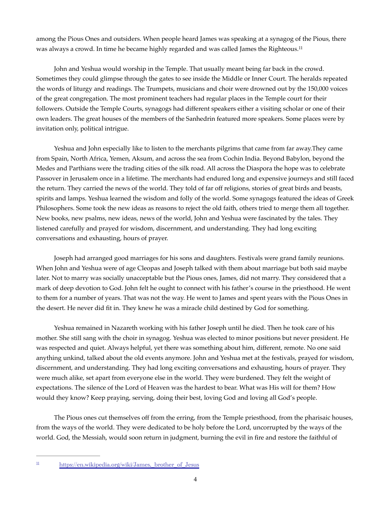<span id="page-3-1"></span>among the Pious Ones and outsiders. When people heard James was speaking at a synagog of the Pious, there was always a crowd. In time he became highly regarded and was called James the Righteous.<sup>[11](#page-3-0)</sup>

John and Yeshua would worship in the Temple. That usually meant being far back in the crowd. Sometimes they could glimpse through the gates to see inside the Middle or Inner Court. The heralds repeated the words of liturgy and readings. The Trumpets, musicians and choir were drowned out by the 150,000 voices of the great congregation. The most prominent teachers had regular places in the Temple court for their followers. Outside the Temple Courts, synagogs had different speakers either a visiting scholar or one of their own leaders. The great houses of the members of the Sanhedrin featured more speakers. Some places were by invitation only, political intrigue.

Yeshua and John especially like to listen to the merchants pilgrims that came from far away.They came from Spain, North Africa, Yemen, Aksum, and across the sea from Cochin India. Beyond Babylon, beyond the Medes and Parthians were the trading cities of the silk road. All across the Diaspora the hope was to celebrate Passover in Jerusalem once in a lifetime. The merchants had endured long and expensive journeys and still faced the return. They carried the news of the world. They told of far off religions, stories of great birds and beasts, spirits and lamps. Yeshua learned the wisdom and folly of the world. Some synagogs featured the ideas of Greek Philosophers. Some took the new ideas as reasons to reject the old faith, others tried to merge them all together. New books, new psalms, new ideas, news of the world, John and Yeshua were fascinated by the tales. They listened carefully and prayed for wisdom, discernment, and understanding. They had long exciting conversations and exhausting, hours of prayer.

Joseph had arranged good marriages for his sons and daughters. Festivals were grand family reunions. When John and Yeshua were of age Cleopas and Joseph talked with them about marriage but both said maybe later. Not to marry was socially unacceptable but the Pious ones, James, did not marry. They considered that a mark of deep devotion to God. John felt he ought to connect with his father's course in the priesthood. He went to them for a number of years. That was not the way. He went to James and spent years with the Pious Ones in the desert. He never did fit in. They knew he was a miracle child destined by God for something.

Yeshua remained in Nazareth working with his father Joseph until he died. Then he took care of his mother. She still sang with the choir in synagog. Yeshua was elected to minor positions but never president. He was respected and quiet. Always helpful, yet there was something about him, different, remote. No one said anything unkind, talked about the old events anymore. John and Yeshua met at the festivals, prayed for wisdom, discernment, and understanding. They had long exciting conversations and exhausting, hours of prayer. They were much alike, set apart from everyone else in the world. They were burdened. They felt the weight of expectations. The silence of the Lord of Heaven was the hardest to bear. What was His will for them? How would they know? Keep praying, serving, doing their best, loving God and loving all God's people.

The Pious ones cut themselves off from the erring, from the Temple priesthood, from the pharisaic houses, from the ways of the world. They were dedicated to be holy before the Lord, uncorrupted by the ways of the world. God, the Messiah, would soon return in judgment, burning the evil in fire and restore the faithful of

<span id="page-3-0"></span> $11$ https://en.wikipedia.org/wiki/James, brother of Jesus